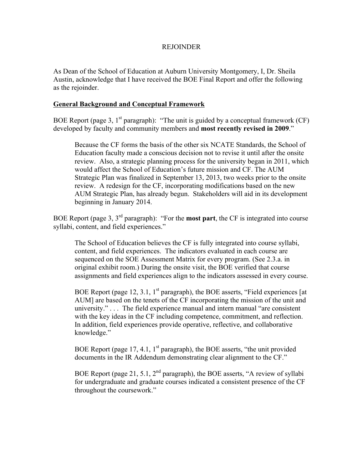## REJOINDER

As Dean of the School of Education at Auburn University Montgomery, I, Dr. Sheila Austin, acknowledge that I have received the BOE Final Report and offer the following as the rejoinder.

# **General Background and Conceptual Framework**

BOE Report (page 3,  $1<sup>st</sup>$  paragraph): "The unit is guided by a conceptual framework (CF) developed by faculty and community members and **most recently revised in 2009**."

Because the CF forms the basis of the other six NCATE Standards, the School of Education faculty made a conscious decision not to revise it until after the onsite review. Also, a strategic planning process for the university began in 2011, which would affect the School of Education's future mission and CF. The AUM Strategic Plan was finalized in September 13, 2013, two weeks prior to the onsite review. A redesign for the CF, incorporating modifications based on the new AUM Strategic Plan, has already begun. Stakeholders will aid in its development beginning in January 2014.

BOE Report (page 3, 3rd paragraph): "For the **most part**, the CF is integrated into course syllabi, content, and field experiences."

The School of Education believes the CF is fully integrated into course syllabi, content, and field experiences. The indicators evaluated in each course are sequenced on the SOE Assessment Matrix for every program. (See 2.3.a. in original exhibit room.) During the onsite visit, the BOE verified that course assignments and field experiences align to the indicators assessed in every course.

BOE Report (page 12, 3.1,  $1<sup>st</sup>$  paragraph), the BOE asserts, "Field experiences [at AUM] are based on the tenets of the CF incorporating the mission of the unit and university." . . . The field experience manual and intern manual "are consistent with the key ideas in the CF including competence, commitment, and reflection. In addition, field experiences provide operative, reflective, and collaborative knowledge."

BOE Report (page 17, 4.1,  $1<sup>st</sup>$  paragraph), the BOE asserts, "the unit provided documents in the IR Addendum demonstrating clear alignment to the CF."

BOE Report (page 21, 5.1,  $2<sup>nd</sup>$  paragraph), the BOE asserts, "A review of syllabi for undergraduate and graduate courses indicated a consistent presence of the CF throughout the coursework."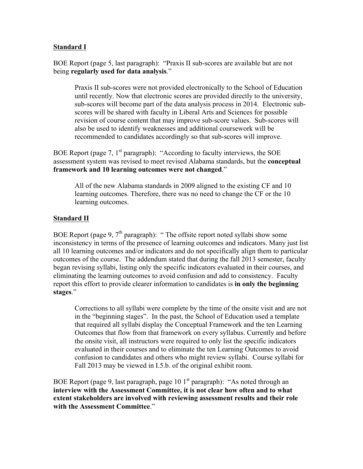# **Standard I**

BOE Report (page 5, last paragraph): "Praxis II sub-scores are available but are not being **regularly used for data analysis**."

Praxis II sub-scores were not provided electronically to the School of Education until recently. Now that electronic scores are provided directly to the university, sub-scores will become part of the data analysis process in 2014. Electronic subscores will be shared with faculty in Liberal Arts and Sciences for possible revision of course content that may improve sub-score values. Sub-scores will also be used to identify weaknesses and additional coursework will be recommended to candidates accordingly so that sub-scores will improve.

BOE Report (page 7,  $1<sup>st</sup>$  paragraph): "According to faculty interviews, the SOE assessment system was revised to meet revised Alabama standards, but the **conceptual framework and 10 learning outcomes were not changed**."

All of the new Alabama standards in 2009 aligned to the existing CF and 10 learning outcomes. Therefore, there was no need to change the CF or the 10 learning outcomes.

# **Standard II**

BOE Report (page 9,  $7<sup>th</sup>$  paragraph): " The offsite report noted syllabi show some inconsistency in terms of the presence of learning outcomes and indicators. Many just list all 10 learning outcomes and/or indicators and do not specifically align them to particular outcomes of the course. The addendum stated that during the fall 2013 semester, faculty began revising syllabi, listing only the specific indicators evaluated in their courses, and eliminating the learning outcomes to avoid confusion and add to consistency. Faculty report this effort to provide clearer information to candidates is **in only the beginning stages**."

Corrections to all syllabi were complete by the time of the onsite visit and are not in the "beginning stages". In the past, the School of Education used a template that required all syllabi display the Conceptual Framework and the ten Learning Outcomes that flow from that framework on every syllabus. Currently and before the onsite visit, all instructors were required to only list the specific indicators evaluated in their courses and to eliminate the ten Learning Outcomes to avoid confusion to candidates and others who might review syllabi. Course syllabi for Fall 2013 may be viewed in I.5.b. of the original exhibit room.

BOE Report (page 9, last paragraph, page 10  $1<sup>st</sup>$  paragraph): "As noted through an **interview with the Assessment Committee, it is not clear how often and to what extent stakeholders are involved with reviewing assessment results and their role with the Assessment Committee**."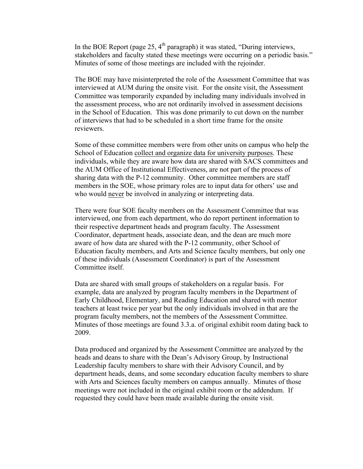In the BOE Report (page 25,  $4^{\text{th}}$  paragraph) it was stated, "During interviews, stakeholders and faculty stated these meetings were occurring on a periodic basis." Minutes of some of those meetings are included with the rejoinder.

The BOE may have misinterpreted the role of the Assessment Committee that was interviewed at AUM during the onsite visit. For the onsite visit, the Assessment Committee was temporarily expanded by including many individuals involved in the assessment process, who are not ordinarily involved in assessment decisions in the School of Education. This was done primarily to cut down on the number of interviews that had to be scheduled in a short time frame for the onsite reviewers.

Some of these committee members were from other units on campus who help the School of Education collect and organize data for university purposes. These individuals, while they are aware how data are shared with SACS committees and the AUM Office of Institutional Effectiveness, are not part of the process of sharing data with the P-12 community. Other committee members are staff members in the SOE, whose primary roles are to input data for others' use and who would never be involved in analyzing or interpreting data.

There were four SOE faculty members on the Assessment Committee that was interviewed, one from each department, who do report pertinent information to their respective department heads and program faculty. The Assessment Coordinator, department heads, associate dean, and the dean are much more aware of how data are shared with the P-12 community, other School of Education faculty members, and Arts and Science faculty members, but only one of these individuals (Assessment Coordinator) is part of the Assessment Committee itself.

Data are shared with small groups of stakeholders on a regular basis. For example, data are analyzed by program faculty members in the Department of Early Childhood, Elementary, and Reading Education and shared with mentor teachers at least twice per year but the only individuals involved in that are the program faculty members, not the members of the Assessment Committee. Minutes of those meetings are found 3.3.a. of original exhibit room dating back to 2009.

Data produced and organized by the Assessment Committee are analyzed by the heads and deans to share with the Dean's Advisory Group, by Instructional Leadership faculty members to share with their Advisory Council, and by department heads, deans, and some secondary education faculty members to share with Arts and Sciences faculty members on campus annually. Minutes of those meetings were not included in the original exhibit room or the addendum. If requested they could have been made available during the onsite visit.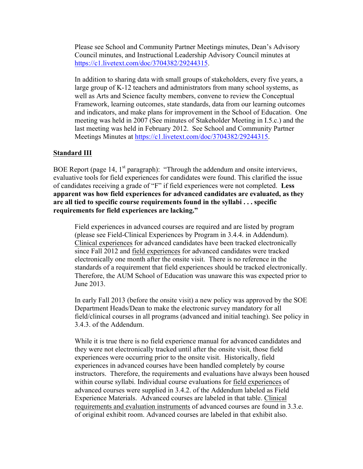Please see School and Community Partner Meetings minutes, Dean's Advisory Council minutes, and Instructional Leadership Advisory Council minutes at https://c1.livetext.com/doc/3704382/29244315.

In addition to sharing data with small groups of stakeholders, every five years, a large group of K-12 teachers and administrators from many school systems, as well as Arts and Science faculty members, convene to review the Conceptual Framework, learning outcomes, state standards, data from our learning outcomes and indicators, and make plans for improvement in the School of Education. One meeting was held in 2007 (See minutes of Stakeholder Meeting in I.5.c.) and the last meeting was held in February 2012. See School and Community Partner Meetings Minutes at https://c1.livetext.com/doc/3704382/29244315.

# **Standard III**

BOE Report (page 14,  $1<sup>st</sup>$  paragraph): "Through the addendum and onsite interviews, evaluative tools for field experiences for candidates were found. This clarified the issue of candidates receiving a grade of "F" if field experiences were not completed. **Less apparent was how field experiences for advanced candidates are evaluated, as they are all tied to specific course requirements found in the syllabi . . . specific requirements for field experiences are lacking."**

Field experiences in advanced courses are required and are listed by program (please see Field-Clinical Experiences by Program in 3.4.4. in Addendum). Clinical experiences for advanced candidates have been tracked electronically since Fall 2012 and field experiences for advanced candidates were tracked electronically one month after the onsite visit. There is no reference in the standards of a requirement that field experiences should be tracked electronically. Therefore, the AUM School of Education was unaware this was expected prior to June 2013.

In early Fall 2013 (before the onsite visit) a new policy was approved by the SOE Department Heads/Dean to make the electronic survey mandatory for all field/clinical courses in all programs (advanced and initial teaching). See policy in 3.4.3. of the Addendum.

While it is true there is no field experience manual for advanced candidates and they were not electronically tracked until after the onsite visit, those field experiences were occurring prior to the onsite visit. Historically, field experiences in advanced courses have been handled completely by course instructors. Therefore, the requirements and evaluations have always been housed within course syllabi. Individual course evaluations for field experiences of advanced courses were supplied in 3.4.2. of the Addendum labeled as Field Experience Materials. Advanced courses are labeled in that table. Clinical requirements and evaluation instruments of advanced courses are found in 3.3.e. of original exhibit room. Advanced courses are labeled in that exhibit also.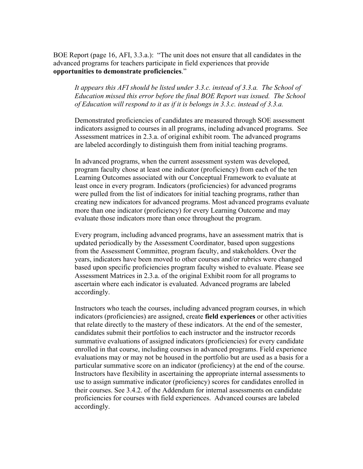BOE Report (page 16, AFI, 3.3.a.): "The unit does not ensure that all candidates in the advanced programs for teachers participate in field experiences that provide **opportunities to demonstrate proficiencies**."

*It appears this AFI should be listed under 3.3.c. instead of 3.3.a. The School of Education missed this error before the final BOE Report was issued. The School of Education will respond to it as if it is belongs in 3.3.c. instead of 3.3.a.*

Demonstrated proficiencies of candidates are measured through SOE assessment indicators assigned to courses in all programs, including advanced programs. See Assessment matrices in 2.3.a. of original exhibit room. The advanced programs are labeled accordingly to distinguish them from initial teaching programs.

In advanced programs, when the current assessment system was developed, program faculty chose at least one indicator (proficiency) from each of the ten Learning Outcomes associated with our Conceptual Framework to evaluate at least once in every program. Indicators (proficiencies) for advanced programs were pulled from the list of indicators for initial teaching programs, rather than creating new indicators for advanced programs. Most advanced programs evaluate more than one indicator (proficiency) for every Learning Outcome and may evaluate those indicators more than once throughout the program.

Every program, including advanced programs, have an assessment matrix that is updated periodically by the Assessment Coordinator, based upon suggestions from the Assessment Committee, program faculty, and stakeholders. Over the years, indicators have been moved to other courses and/or rubrics were changed based upon specific proficiencies program faculty wished to evaluate. Please see Assessment Matrices in 2.3.a. of the original Exhibit room for all programs to ascertain where each indicator is evaluated. Advanced programs are labeled accordingly.

Instructors who teach the courses, including advanced program courses, in which indicators (proficiencies) are assigned, create **field experiences** or other activities that relate directly to the mastery of these indicators. At the end of the semester, candidates submit their portfolios to each instructor and the instructor records summative evaluations of assigned indicators (proficiencies) for every candidate enrolled in that course, including courses in advanced programs. Field experience evaluations may or may not be housed in the portfolio but are used as a basis for a particular summative score on an indicator (proficiency) at the end of the course. Instructors have flexibility in ascertaining the appropriate internal assessments to use to assign summative indicator (proficiency) scores for candidates enrolled in their courses. See 3.4.2. of the Addendum for internal assessments on candidate proficiencies for courses with field experiences. Advanced courses are labeled accordingly.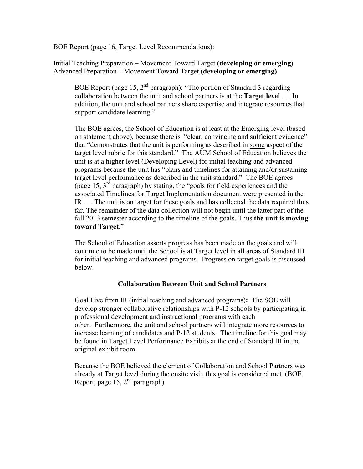BOE Report (page 16, Target Level Recommendations):

Initial Teaching Preparation – Movement Toward Target **(developing or emerging)** Advanced Preparation – Movement Toward Target **(developing or emerging)**

BOE Report (page 15,  $2<sup>nd</sup>$  paragraph): "The portion of Standard 3 regarding collaboration between the unit and school partners is at the **Target level** . . . In addition, the unit and school partners share expertise and integrate resources that support candidate learning."

The BOE agrees, the School of Education is at least at the Emerging level (based on statement above), because there is "clear, convincing and sufficient evidence" that "demonstrates that the unit is performing as described in some aspect of the target level rubric for this standard." The AUM School of Education believes the unit is at a higher level (Developing Level) for initial teaching and advanced programs because the unit has "plans and timelines for attaining and/or sustaining target level performance as described in the unit standard." The BOE agrees (page 15,  $3<sup>rd</sup>$  paragraph) by stating, the "goals for field experiences and the associated Timelines for Target Implementation document were presented in the IR . . . The unit is on target for these goals and has collected the data required thus far. The remainder of the data collection will not begin until the latter part of the fall 2013 semester according to the timeline of the goals. Thus **the unit is moving toward Target**."

The School of Education asserts progress has been made on the goals and will continue to be made until the School is at Target level in all areas of Standard III for initial teaching and advanced programs. Progress on target goals is discussed below.

## **Collaboration Between Unit and School Partners**

Goal Five from IR (initial teaching and advanced programs)**:** The SOE will develop stronger collaborative relationships with P-12 schools by participating in professional development and instructional programs with each other. Furthermore, the unit and school partners will integrate more resources to increase learning of candidates and P-12 students. The timeline for this goal may be found in Target Level Performance Exhibits at the end of Standard III in the original exhibit room.

Because the BOE believed the element of Collaboration and School Partners was already at Target level during the onsite visit, this goal is considered met. (BOE Report, page  $15$ ,  $2<sup>nd</sup>$  paragraph)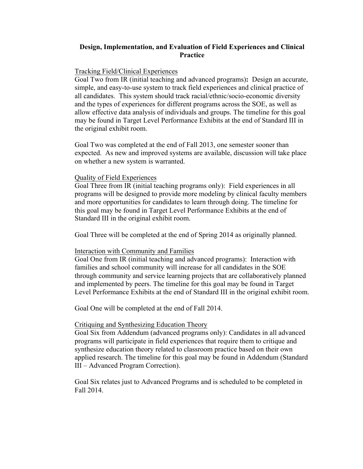# **Design, Implementation, and Evaluation of Field Experiences and Clinical Practice**

## Tracking Field/Clinical Experiences

Goal Two from IR (initial teaching and advanced programs)**:** Design an accurate, simple, and easy-to-use system to track field experiences and clinical practice of all candidates. This system should track racial/ethnic/socio-economic diversity and the types of experiences for different programs across the SOE, as well as allow effective data analysis of individuals and groups. The timeline for this goal may be found in Target Level Performance Exhibits at the end of Standard III in the original exhibit room.

Goal Two was completed at the end of Fall 2013, one semester sooner than expected. As new and improved systems are available, discussion will take place on whether a new system is warranted.

## Quality of Field Experiences

Goal Three from IR (initial teaching programs only): Field experiences in all programs will be designed to provide more modeling by clinical faculty members and more opportunities for candidates to learn through doing. The timeline for this goal may be found in Target Level Performance Exhibits at the end of Standard III in the original exhibit room.

Goal Three will be completed at the end of Spring 2014 as originally planned.

### Interaction with Community and Families

Goal One from IR (initial teaching and advanced programs): Interaction with families and school community will increase for all candidates in the SOE through community and service learning projects that are collaboratively planned and implemented by peers. The timeline for this goal may be found in Target Level Performance Exhibits at the end of Standard III in the original exhibit room.

Goal One will be completed at the end of Fall 2014.

### Critiquing and Synthesizing Education Theory

Goal Six from Addendum (advanced programs only): Candidates in all advanced programs will participate in field experiences that require them to critique and synthesize education theory related to classroom practice based on their own applied research. The timeline for this goal may be found in Addendum (Standard III – Advanced Program Correction).

Goal Six relates just to Advanced Programs and is scheduled to be completed in Fall 2014.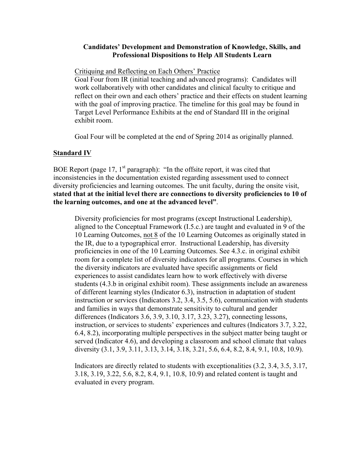## **Candidates' Development and Demonstration of Knowledge, Skills, and Professional Dispositions to Help All Students Learn**

### Critiquing and Reflecting on Each Others' Practice

Goal Four from IR (initial teaching and advanced programs): Candidates will work collaboratively with other candidates and clinical faculty to critique and reflect on their own and each others' practice and their effects on student learning with the goal of improving practice. The timeline for this goal may be found in Target Level Performance Exhibits at the end of Standard III in the original exhibit room.

Goal Four will be completed at the end of Spring 2014 as originally planned.

## **Standard IV**

BOE Report (page  $17$ ,  $1<sup>st</sup>$  paragraph): "In the offsite report, it was cited that inconsistencies in the documentation existed regarding assessment used to connect diversity proficiencies and learning outcomes. The unit faculty, during the onsite visit, **stated that at the initial level there are connections to diversity proficiencies to 10 of the learning outcomes, and one at the advanced level"**.

Diversity proficiencies for most programs (except Instructional Leadership), aligned to the Conceptual Framework (I.5.c.) are taught and evaluated in 9 of the 10 Learning Outcomes, not 8 of the 10 Learning Outcomes as originally stated in the IR, due to a typographical error. Instructional Leadership, has diversity proficiencies in one of the 10 Learning Outcomes. See 4.3.c. in original exhibit room for a complete list of diversity indicators for all programs. Courses in which the diversity indicators are evaluated have specific assignments or field experiences to assist candidates learn how to work effectively with diverse students (4.3.b in original exhibit room). These assignments include an awareness of different learning styles (Indicator 6.3), instruction in adaptation of student instruction or services (Indicators 3.2, 3.4, 3.5, 5.6), communication with students and families in ways that demonstrate sensitivity to cultural and gender differences (Indicators 3.6, 3.9, 3.10, 3.17, 3.23, 3.27), connecting lessons, instruction, or services to students' experiences and cultures (Indicators 3.7, 3.22, 6.4, 8.2), incorporating multiple perspectives in the subject matter being taught or served (Indicator 4.6), and developing a classroom and school climate that values diversity (3.1, 3.9, 3.11, 3.13, 3.14, 3.18, 3.21, 5.6, 6.4, 8.2, 8.4, 9.1, 10.8, 10.9).

Indicators are directly related to students with exceptionalities (3.2, 3.4, 3.5, 3.17, 3.18, 3.19, 3.22, 5.6, 8.2, 8.4, 9.1, 10.8, 10.9) and related content is taught and evaluated in every program.